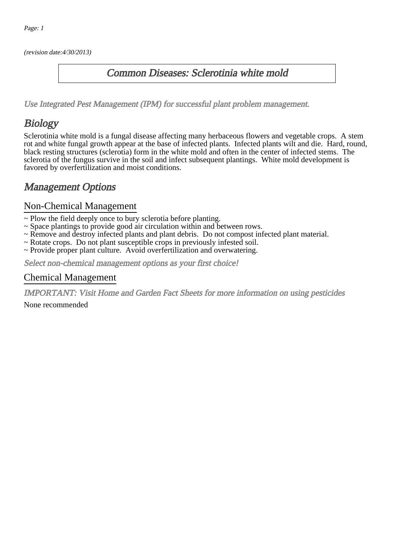(revision date:4/30/2013)

### Common Diseases: Sclerotinia white mold

[Use Integrated Pest Management \(IPM\) for successful plant problem management.](http://pep.wsu.edu/Home_Garden/H_G_Pesticide_info/urban_Integrated_Pest_Managmen/)

## Biology

Sclerotinia white mold is a fungal disease affecting many herbaceous flowers and vegetable crops. A stem rot and white fungal growth appear at the base of infected plants. Infected plants wilt and die. Hard, round, black resting structures (sclerotia) form in the white mold and often in the center of infected stems. The sclerotia of the fungus survive in the soil and infect subsequent plantings. White mold development is favored by overfertilization and moist conditions.

### Management Options

#### Non-Chemical Management

- ~ Plow the field deeply once to bury sclerotia before planting.
- ~ Space plantings to provide good air circulation within and between rows.
- ~ Remove and destroy infected plants and plant debris. Do not compost infected plant material.
- ~ Rotate crops. Do not plant susceptible crops in previously infested soil.
- ~ Provide proper plant culture. Avoid overfertilization and overwatering.

Select non-chemical management options as your first choice!

#### Chemical Management

IMPORTANT: [Visit Home and Garden Fact Sheets for more information on using pesticides](http://pep.wsu.edu/Home_Garden/H_G_Pesticide_info/)

None recommended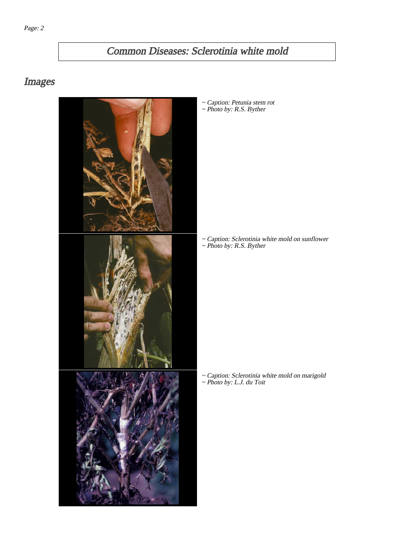## Common Diseases: Sclerotinia white mold

# Images



~ Caption: Petunia stem rot ~ Photo by: R.S. Byther

~ Caption: Sclerotinia white mold on sunflower ~ Photo by: R.S. Byther

~ Caption: Sclerotinia white mold on marigold ~ Photo by: L.J. du Toit